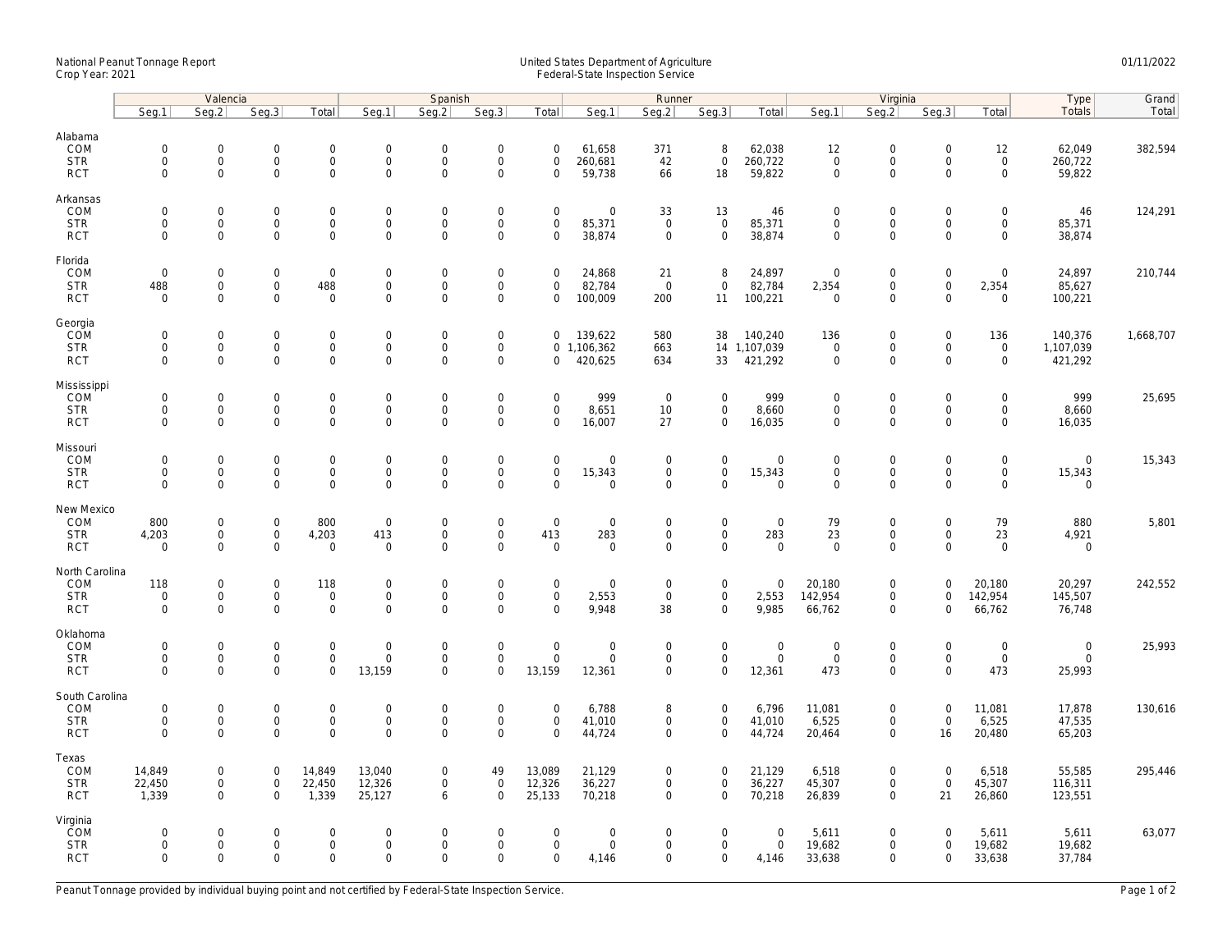## National Peanut Tonnage Report United States Department of Agriculture 01/11/2022 Crop Year: 2021 Federal-State Inspection Service

|                                                   | Valencia                                  |                                                           |                                           |                                                     | Spanish                                    |                                                   |                                                           |                                                |                                              | Runner                                    |                                                            |                                        | Virginia                                           |                                                           |                                                           |                                                           | Type                                 | Grand     |
|---------------------------------------------------|-------------------------------------------|-----------------------------------------------------------|-------------------------------------------|-----------------------------------------------------|--------------------------------------------|---------------------------------------------------|-----------------------------------------------------------|------------------------------------------------|----------------------------------------------|-------------------------------------------|------------------------------------------------------------|----------------------------------------|----------------------------------------------------|-----------------------------------------------------------|-----------------------------------------------------------|-----------------------------------------------------------|--------------------------------------|-----------|
|                                                   | Seg.1                                     | Seg.2                                                     | Seg.3                                     | Total                                               | Seg.1                                      | Seq.2                                             | Seg.3                                                     | Total                                          | Seg.1                                        | Seg.2                                     | Seg.3                                                      | Total                                  | Seg.1                                              | Seg.2                                                     | Seg.3                                                     | Total                                                     | Totals                               | Total     |
| Alabama<br>COM<br><b>STR</b><br><b>RCT</b>        | $\mathbf 0$<br>$\mathbf 0$<br>$\Omega$    | $\mathbf 0$<br>$\mathsf{O}\xspace$<br>$\mathbf{0}$        | $\mathbf 0$<br>$\mathbf 0$<br>$\mathbf 0$ | $\mathbf 0$<br>$\mathbf 0$<br>$\mathbf{0}$          | $\mathsf{O}$<br>$\mathbf 0$<br>$\Omega$    | $\mathbf 0$<br>$\mathsf{O}\xspace$<br>$\Omega$    | $\mathsf{O}\xspace$<br>$\mathsf 0$<br>$\Omega$            | $\mathbf 0$<br>$\mathsf{O}\xspace$<br>$\Omega$ | 61,658<br>260,681<br>59,738                  | 371<br>42<br>66                           | 8<br>$\mathbf 0$<br>18                                     | 62,038<br>260,722<br>59,822            | 12<br>$\mathsf{O}\xspace$<br>$\mathbf 0$           | $\mathbf 0$<br>$\mathsf{O}\xspace$<br>$\Omega$            | $\mathsf{O}\xspace$<br>$\mathsf{O}\xspace$<br>$\Omega$    | 12<br>$\mathbf 0$<br>$\mathbf 0$                          | 62,049<br>260,722<br>59,822          | 382,594   |
| Arkansas<br>COM<br><b>STR</b><br><b>RCT</b>       | $\mathbf 0$<br>$\mathbf 0$<br>$\Omega$    | $\mathbf{0}$<br>$\mathsf{O}\xspace$<br>$\mathbf 0$        | $\mathbf 0$<br>0<br>$\mathbf 0$           | $\mathbf 0$<br>0<br>$\mathbf 0$                     | $\mathbf 0$<br>$\mathsf{O}$<br>$\mathbf 0$ | $\mathbf 0$<br>$\mathsf{O}\xspace$<br>$\mathbf 0$ | $\mathbf 0$<br>$\mathsf{O}\xspace$<br>$\mathbf 0$         | $\mathbf 0$<br>$\mathbf 0$<br>$\mathbf 0$      | $\mathbf 0$<br>85,371<br>38,874              | 33<br>$\mathsf 0$<br>$\mathbf 0$          | 13<br>$\mathsf 0$<br>$\mathbf 0$                           | 46<br>85,371<br>38,874                 | $\mathbf 0$<br>$\mathsf{O}\xspace$<br>$\mathbf{0}$ | $\mathbf 0$<br>$\mathsf{O}\xspace$<br>$\mathbf 0$         | $\mathbf 0$<br>$\mathbf 0$<br>$\Omega$                    | $\mathbf 0$<br>$\mathbf 0$<br>$\mathbf 0$                 | 46<br>85,371<br>38,874               | 124,291   |
| Florida<br>COM<br><b>STR</b><br><b>RCT</b>        | $\mathbf 0$<br>488<br>$\mathbf 0$         | $\mathsf{O}\xspace$<br>$\mathsf{O}\xspace$<br>$\mathbf 0$ | $\mathbf 0$<br>$\mathbf 0$<br>$\mathbf 0$ | $\mathbf 0$<br>488<br>$\mathbf 0$                   | $\mathbf 0$<br>$\mathbf 0$<br>$\mathbf 0$  | $\mathbf 0$<br>$\mathbf 0$<br>$\mathbf 0$         | $\mathsf{O}\xspace$<br>$\mathsf{O}\xspace$<br>$\mathbf 0$ | $\mathbf 0$<br>0<br>$\mathbf 0$                | 24,868<br>82,784<br>100,009                  | 21<br>$\overline{0}$<br>200               | 8<br>$\mathbf 0$<br>11                                     | 24,897<br>82,784<br>100,221            | $\mathbf 0$<br>2,354<br>$\mathbf 0$                | $\mathbf 0$<br>$\mathsf{O}\xspace$<br>$\mathbf 0$         | $\mathsf{O}\xspace$<br>$\mathsf{O}\xspace$<br>$\mathbf 0$ | $\mathsf{O}\xspace$<br>2,354<br>$\mathbf 0$               | 24,897<br>85,627<br>100,221          | 210,744   |
| Georgia<br>COM<br><b>STR</b><br><b>RCT</b>        | $\mathbf 0$<br>$\mathbf 0$<br>$\mathbf 0$ | $\mathbf 0$<br>$\mathsf{O}\xspace$<br>$\mathbf{0}$        | $\mathbf 0$<br>$\mathbf 0$<br>$\mathbf 0$ | $\mathsf{O}\xspace$<br>$\mathsf{O}$<br>$\mathbf{0}$ | $\mathbf 0$<br>$\mathsf{O}$<br>$\mathbf 0$ | $\mathbf 0$<br>$\mathsf 0$<br>$\mathbf 0$         | $\mathsf{O}\xspace$<br>$\mathsf 0$<br>$\mathbf 0$         | $\mathbf 0$<br>0                               | 139,622<br>0 1,106,362<br>420,625            | 580<br>663<br>634                         | 38<br>33                                                   | 140,240<br>14 1,107,039<br>421,292     | 136<br>$\mathbf 0$<br>$\mathbf 0$                  | $\mathbf 0$<br>$\mathsf{O}\xspace$<br>$\mathbf 0$         | $\mathbf 0$<br>$\mathbf 0$<br>$\mathbf 0$                 | 136<br>$\mathbf 0$<br>$\mathbf 0$                         | 140,376<br>1,107,039<br>421,292      | 1,668,707 |
| Mississippi<br>COM<br><b>STR</b><br><b>RCT</b>    | $\mathbf 0$<br>$\mathbf 0$<br>$\mathbf 0$ | $\mathbf 0$<br>$\mathsf{O}\xspace$<br>$\mathbf 0$         | $\mathbf 0$<br>0<br>$\mathbf 0$           | $\mathbf{0}$<br>$\mathbf 0$<br>$\mathbf 0$          | $\mathbf 0$<br>$\mathsf{O}$<br>$\mathbf 0$ | $\mathbf 0$<br>$\mathsf 0$<br>$\mathbf 0$         | $\mathbf 0$<br>$\mathsf 0$<br>$\mathbf 0$                 | $\mathbf 0$<br>0<br>$\mathbf 0$                | 999<br>8,651<br>16,007                       | $\overline{0}$<br>10<br>27                | $\mathbf 0$<br>$\mathbf 0$<br>$\mathbf 0$                  | 999<br>8,660<br>16,035                 | $\mathbf 0$<br>$\mathbf 0$<br>0                    | $\mathbf 0$<br>$\mathsf{O}\xspace$<br>$\mathbf 0$         | $\Omega$<br>$\mathbf 0$<br>$\mathbf 0$                    | $\mathbf 0$<br>$\mathsf{O}$<br>$\mathbf 0$                | 999<br>8,660<br>16,035               | 25,695    |
| Missouri<br>COM<br><b>STR</b><br><b>RCT</b>       | $\mathbf 0$<br>$\Omega$<br>$\Omega$       | $\mathsf{O}\xspace$<br>0<br>$\mathbf 0$                   | $\mathbf 0$<br>$\mathbf 0$<br>$\mathbf 0$ | $\mathsf{O}\xspace$<br>0<br>$\mathbf 0$             | $\mathbf 0$<br>$\mathbf 0$<br>$\mathbf 0$  | $\mathbf 0$<br>$\mathbf 0$<br>$\mathbf 0$         | $\mathsf{O}\xspace$<br>$\mathsf{O}\xspace$<br>$\mathbf 0$ | $\mathsf 0$<br>$\mathbf 0$<br>$\Omega$         | $\mathsf{O}\xspace$<br>15,343<br>$\mathbf 0$ | $\mathbf 0$<br>$\mathbf 0$<br>$\mathbf 0$ | $\mathsf{O}\xspace$<br>$\mathsf{O}\xspace$<br>$\mathbf{0}$ | $\mathbf 0$<br>15,343<br>$\mathbf 0$   | $\mathbf 0$<br>$\mathbf 0$<br>$\mathbf 0$          | $\mathsf{O}\xspace$<br>$\mathsf{O}\xspace$<br>$\mathbf 0$ | $\mathbf 0$<br>$\mathbf 0$<br>$\mathbf 0$                 | $\mathsf{O}\xspace$<br>$\mathsf{O}\xspace$<br>$\mathbf 0$ | $\mathbf 0$<br>15,343<br>$\mathbf 0$ | 15,343    |
| New Mexico<br>COM<br><b>STR</b><br><b>RCT</b>     | 800<br>4,203<br>$\Omega$                  | $\mathsf{O}\xspace$<br>$\mathsf{O}\xspace$<br>$\Omega$    | $\mathbf 0$<br>$\mathbf 0$<br>$\Omega$    | 800<br>4,203<br>$\mathbf 0$                         | $\boldsymbol{0}$<br>413<br>$\mathbf 0$     | $\mathbf 0$<br>$\mathbf 0$<br>$\mathbf 0$         | $\mathsf{O}\xspace$<br>$\mathbf 0$<br>$\Omega$            | $\mathsf 0$<br>413<br>$\Omega$                 | $\mathsf{O}\xspace$<br>283<br>$\Omega$       | $\mathbf 0$<br>$\mathbf 0$<br>$\Omega$    | $\mathsf{O}\xspace$<br>$\mathbf 0$<br>$\mathsf{O}$         | $\mathbf 0$<br>283<br>$\mathbf 0$      | 79<br>23<br>$\mathbf 0$                            | $\mathsf{O}\xspace$<br>$\mathbf 0$<br>$\mathsf{O}\xspace$ | $\overline{0}$<br>$\mathbf 0$<br>$\Omega$                 | 79<br>23<br>$\mathsf{O}\xspace$                           | 880<br>4,921<br>$\mathbf 0$          | 5,801     |
| North Carolina<br>COM<br><b>STR</b><br><b>RCT</b> | 118<br>$\mathbf 0$<br>$\mathbf 0$         | 0<br>$\mathbf 0$<br>$\mathbf 0$                           | $\mathbf 0$<br>$\mathbf 0$<br>$\mathbf 0$ | 118<br>$\mathbf 0$<br>$\mathbf{0}$                  | $\mathbf 0$<br>$\mathbf 0$<br>$\mathbf{0}$ | $\mathbf 0$<br>$\mathbf 0$<br>$\Omega$            | $\mathbf 0$<br>$\mathsf 0$<br>$\Omega$                    | $\mathbf 0$<br>$\mathbf 0$<br>$\Omega$         | $\mathbf 0$<br>2,553<br>9,948                | $\mathbf 0$<br>$\mathbf 0$<br>38          | $\mathsf{O}\xspace$<br>$\mathbf 0$<br>$\mathbf{0}$         | $\mathbf 0$<br>2,553<br>9,985          | 20,180<br>142,954<br>66,762                        | $\mathbf 0$<br>$\mathsf{O}$<br>$\mathbf 0$                | $\Omega$<br>$\mathbf 0$<br>$\Omega$                       | 20,180<br>142,954<br>66,762                               | 20,297<br>145,507<br>76,748          | 242,552   |
| Oklahoma<br>COM<br><b>STR</b><br><b>RCT</b>       | $\mathbf 0$<br>$\mathbf 0$<br>$\Omega$    | $\mathbf 0$<br>$\mathsf{O}\xspace$<br>$\mathbf 0$         | $\mathbf 0$<br>$\mathbf 0$<br>$\mathbf 0$ | $\mathbf{0}$<br>$\mathsf{O}\xspace$<br>$\mathbf 0$  | $\mathbf 0$<br>$\mathsf{O}$<br>13,159      | $\mathbf 0$<br>$\mathbf 0$<br>$\Omega$            | $\mathbf 0$<br>$\mathsf{O}\xspace$<br>$\Omega$            | $\mathbf{0}$<br>$\mathsf 0$<br>13,159          | $\mathbf 0$<br>$\mathsf{O}\xspace$<br>12,361 | $\mathbf 0$<br>$\mathbf 0$<br>$\mathbf 0$ | $\mathbf{0}$<br>$\mathsf{O}\xspace$<br>$\mathbf 0$         | $\mathsf{O}$<br>$\mathsf{O}$<br>12,361 | $\mathbf 0$<br>$\mathsf{O}\xspace$<br>473          | $\mathbf 0$<br>$\mathsf{O}\xspace$<br>$\mathbf 0$         | $\mathbf 0$<br>$\mathbf 0$<br>$\Omega$                    | $\mathbf 0$<br>$\mathsf{O}\xspace$<br>473                 | $\mathbf 0$<br>$\mathbf 0$<br>25,993 | 25,993    |
| South Carolina<br>COM<br><b>STR</b><br><b>RCT</b> | $\mathbf 0$<br>$\mathbf 0$<br>$\mathbf 0$ | $\mathsf{O}\xspace$<br>0<br>$\mathbf 0$                   | $\mathbf 0$<br>$\mathbf 0$<br>$\mathbf 0$ | $\mathbf 0$<br>$\boldsymbol{0}$<br>$\mathsf{O}$     | $\mathbf 0$<br>$\mathbf 0$<br>$\mathbf 0$  | $\mathbf 0$<br>$\mathbf 0$<br>$\mathbf 0$         | $\mathsf{O}\xspace$<br>$\mathsf{O}\xspace$<br>$\mathbf 0$ | $\mathbf 0$<br>$\mathbf 0$<br>$\mathbf 0$      | 6,788<br>41,010<br>44,724                    | 8<br>0<br>$\mathbf 0$                     | $\mathbf 0$<br>$\mathbf 0$<br>$\mathbf 0$                  | 6,796<br>41,010<br>44,724              | 11,081<br>6,525<br>20,464                          | $\mathsf{O}\xspace$<br>$\mathsf{O}\xspace$<br>$\mathbf 0$ | $\mathbf 0$<br>$\mathbf 0$<br>16                          | 11,081<br>6,525<br>20,480                                 | 17,878<br>47,535<br>65,203           | 130,616   |
| Texas<br>COM<br><b>STR</b><br><b>RCT</b>          | 14,849<br>22,450<br>1,339                 | $\mathbf 0$<br>$\mathsf{O}\xspace$<br>$\mathbf{0}$        | $\mathbf 0$<br>$\mathbf 0$<br>$\Omega$    | 14,849<br>22,450<br>1,339                           | 13,040<br>12,326<br>25,127                 | $\mathbf 0$<br>$\mathsf 0$<br>6                   | 49<br>$\mathsf{O}\xspace$<br>$\Omega$                     | 13,089<br>12,326<br>25,133                     | 21,129<br>36,227<br>70,218                   | 0<br>0<br>$\Omega$                        | $\mathbf 0$<br>$\mathbf 0$<br>$\mathbf 0$                  | 21,129<br>36,227<br>70,218             | 6,518<br>45,307<br>26,839                          | $\mathbf 0$<br>$\mathsf{O}\xspace$<br>$\mathbf 0$         | $\mathbf 0$<br>$\mathsf 0$<br>21                          | 6,518<br>45,307<br>26,860                                 | 55,585<br>116,311<br>123,551         | 295,446   |
| Virginia<br>COM<br><b>STR</b><br><b>RCT</b>       | $\mathbf 0$<br>$\mathbf 0$<br>$\mathbf 0$ | $\mathbf{0}$<br>$\mathsf{O}\xspace$<br>$\mathbf 0$        | $\mathbf 0$<br>$\mathbf 0$<br>$\mathbf 0$ | $\mathbf 0$<br>$\mathsf{O}\xspace$<br>$\mathbf 0$   | $\mathbf 0$<br>$\mathsf{O}$<br>$\mathbf 0$ | $\mathbf 0$<br>$\mathbf 0$<br>$\Omega$            | $\mathbf 0$<br>$\mathsf{O}\xspace$<br>$\mathbf 0$         | $\mathbf 0$<br>$\mathbf 0$<br>$\mathbf 0$      | $\mathbf 0$<br>$\mathsf{O}\xspace$<br>4,146  | 0<br>0<br>0                               | $\mathbf 0$<br>$\mathbf 0$<br>$\mathbf 0$                  | $\mathbf 0$<br>$\mathsf 0$<br>4,146    | 5,611<br>19,682<br>33,638                          | $\mathbf 0$<br>$\mathsf{O}\xspace$<br>$\mathbf 0$         | $\Omega$<br>$\mathbf 0$<br>$\mathbf 0$                    | 5,611<br>19,682<br>33,638                                 | 5,611<br>19,682<br>37,784            | 63,077    |

Peanut Tonnage provided by individual buying point and not certified by Federal-State Inspection Service. Page 1 of 2